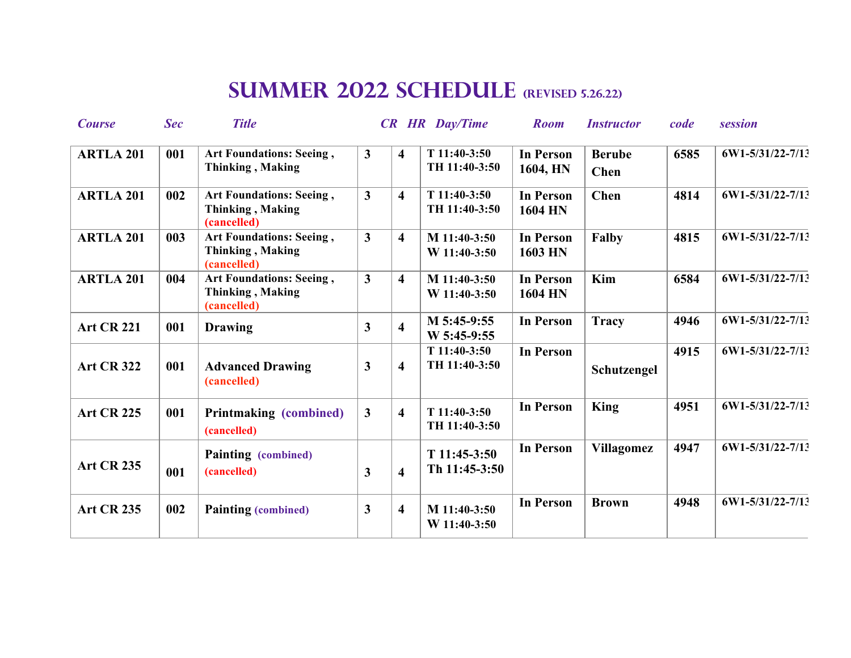| <b>Course</b>     | <b>Sec</b> | <b>Title</b>                                                              |                |                         | <b>CR HR Day/Time</b>          | <b>Room</b>                  | <b>Instructor</b>     | code | session          |
|-------------------|------------|---------------------------------------------------------------------------|----------------|-------------------------|--------------------------------|------------------------------|-----------------------|------|------------------|
| <b>ARTLA 201</b>  | 001        | <b>Art Foundations: Seeing,</b><br>Thinking, Making                       | $\overline{3}$ | $\overline{\mathbf{4}}$ | $T11:40-3:50$<br>TH 11:40-3:50 | <b>In Person</b><br>1604, HN | <b>Berube</b><br>Chen | 6585 | 6W1-5/31/22-7/13 |
| <b>ARTLA 201</b>  | 002        | Art Foundations: Seeing,<br>Thinking, Making<br>(cancelled)               | $\overline{3}$ | $\overline{\mathbf{4}}$ | T 11:40-3:50<br>TH 11:40-3:50  | <b>In Person</b><br>1604 HN  | <b>Chen</b>           | 4814 | 6W1-5/31/22-7/13 |
| <b>ARTLA 201</b>  | 003        | <b>Art Foundations: Seeing,</b><br><b>Thinking, Making</b><br>(cancelled) | $\overline{3}$ | $\overline{\mathbf{4}}$ | M 11:40-3:50<br>W 11:40-3:50   | <b>In Person</b><br>1603 HN  | Falby                 | 4815 | 6W1-5/31/22-7/13 |
| <b>ARTLA 201</b>  | 004        | <b>Art Foundations: Seeing,</b><br>Thinking, Making<br>(cancelled)        | $\overline{3}$ | $\overline{\mathbf{4}}$ | $M$ 11:40-3:50<br>W 11:40-3:50 | <b>In Person</b><br>1604 HN  | Kim                   | 6584 | 6W1-5/31/22-7/13 |
| <b>Art CR 221</b> | 001        | <b>Drawing</b>                                                            | $\mathbf{3}$   | $\overline{\mathbf{4}}$ | M 5:45-9:55<br>W 5:45-9:55     | <b>In Person</b>             | <b>Tracy</b>          | 4946 | 6W1-5/31/22-7/13 |
| <b>Art CR 322</b> | 001        | <b>Advanced Drawing</b><br>(cancelled)                                    | 3              | $\overline{\mathbf{4}}$ | $T11:40-3:50$<br>TH 11:40-3:50 | <b>In Person</b>             | Schutzengel           | 4915 | 6W1-5/31/22-7/13 |
| <b>Art CR 225</b> | 001        | <b>Printmaking (combined)</b><br>(cancelled)                              | 3              | $\overline{\mathbf{4}}$ | T 11:40-3:50<br>TH 11:40-3:50  | <b>In Person</b>             | <b>King</b>           | 4951 | 6W1-5/31/22-7/13 |
| <b>Art CR 235</b> | 001        | <b>Painting</b> (combined)<br>(cancelled)                                 | 3              | $\overline{\mathbf{4}}$ | $T11:45-3:50$<br>Th 11:45-3:50 | <b>In Person</b>             | <b>Villagomez</b>     | 4947 | 6W1-5/31/22-7/13 |
| <b>Art CR 235</b> | 002        | <b>Painting (combined)</b>                                                | 3              | $\overline{\mathbf{4}}$ | M 11:40-3:50<br>W 11:40-3:50   | <b>In Person</b>             | <b>Brown</b>          | 4948 | 6W1-5/31/22-7/13 |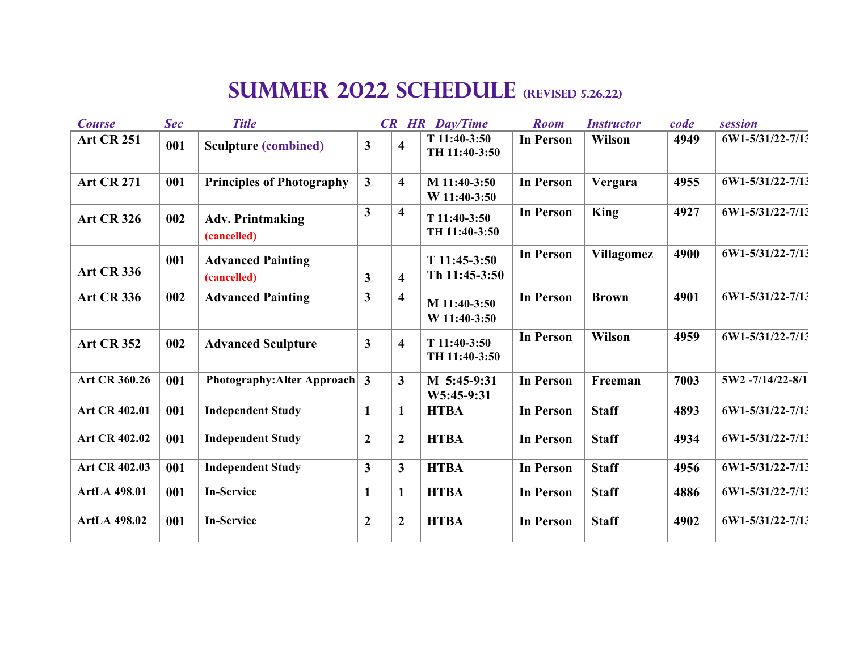| <b>Course</b>        | <b>Sec</b> | <b>Title</b>                            |                         |                         | <b>CR HR Day/Time</b>          | <b>Room</b>      | <b>Instructor</b> | code | session          |
|----------------------|------------|-----------------------------------------|-------------------------|-------------------------|--------------------------------|------------------|-------------------|------|------------------|
| <b>Art CR 251</b>    | 001        | <b>Sculpture (combined)</b>             | $\overline{\mathbf{3}}$ | $\overline{\mathbf{4}}$ | T 11:40-3:50<br>TH 11:40-3:50  | <b>In Person</b> | <b>Wilson</b>     | 4949 | 6W1-5/31/22-7/13 |
| <b>Art CR 271</b>    | 001        | <b>Principles of Photography</b>        | $\mathbf{3}$            | $\overline{\mathbf{4}}$ | M 11:40-3:50<br>W 11:40-3:50   | <b>In Person</b> | Vergara           | 4955 | 6W1-5/31/22-7/13 |
| <b>Art CR 326</b>    | 002        | <b>Adv. Printmaking</b><br>(cancelled)  | $\overline{3}$          | $\overline{\mathbf{4}}$ | T 11:40-3:50<br>TH 11:40-3:50  | <b>In Person</b> | <b>King</b>       | 4927 | 6W1-5/31/22-7/13 |
| <b>Art CR 336</b>    | 001        | <b>Advanced Painting</b><br>(cancelled) | 3                       | $\overline{\mathbf{4}}$ | $T11:45-3:50$<br>Th 11:45-3:50 | <b>In Person</b> | <b>Villagomez</b> | 4900 | 6W1-5/31/22-7/13 |
| <b>Art CR 336</b>    | 002        | <b>Advanced Painting</b>                | $\overline{\mathbf{3}}$ | $\overline{\mathbf{4}}$ | M 11:40-3:50<br>W 11:40-3:50   | <b>In Person</b> | <b>Brown</b>      | 4901 | 6W1-5/31/22-7/13 |
| <b>Art CR 352</b>    | 002        | <b>Advanced Sculpture</b>               | $\overline{\mathbf{3}}$ | $\overline{\mathbf{4}}$ | $T11:40-3:50$<br>TH 11:40-3:50 | <b>In Person</b> | <b>Wilson</b>     | 4959 | 6W1-5/31/22-7/13 |
| Art CR 360.26        | 001        | Photography: Alter Approach             | $\mathbf{3}$            | $\overline{3}$          | M 5:45-9:31<br>W5:45-9:31      | <b>In Person</b> | Freeman           | 7003 | 5W2-7/14/22-8/1  |
| <b>Art CR 402.01</b> | 001        | <b>Independent Study</b>                | $\mathbf{1}$            | $\mathbf{1}$            | <b>HTBA</b>                    | <b>In Person</b> | <b>Staff</b>      | 4893 | 6W1-5/31/22-7/13 |
| <b>Art CR 402.02</b> | 001        | <b>Independent Study</b>                | $\overline{2}$          | $\overline{2}$          | <b>HTBA</b>                    | <b>In Person</b> | <b>Staff</b>      | 4934 | 6W1-5/31/22-7/13 |
| <b>Art CR 402.03</b> | 001        | <b>Independent Study</b>                | $\overline{3}$          | 3                       | <b>HTBA</b>                    | <b>In Person</b> | <b>Staff</b>      | 4956 | 6W1-5/31/22-7/13 |
| <b>ArtLA 498.01</b>  | 001        | <b>In-Service</b>                       | $\mathbf{1}$            | $\mathbf{1}$            | <b>HTBA</b>                    | <b>In Person</b> | <b>Staff</b>      | 4886 | 6W1-5/31/22-7/13 |
| <b>ArtLA 498.02</b>  | 001        | <b>In-Service</b>                       | $\overline{2}$          | $\overline{2}$          | <b>HTBA</b>                    | <b>In Person</b> | <b>Staff</b>      | 4902 | 6W1-5/31/22-7/13 |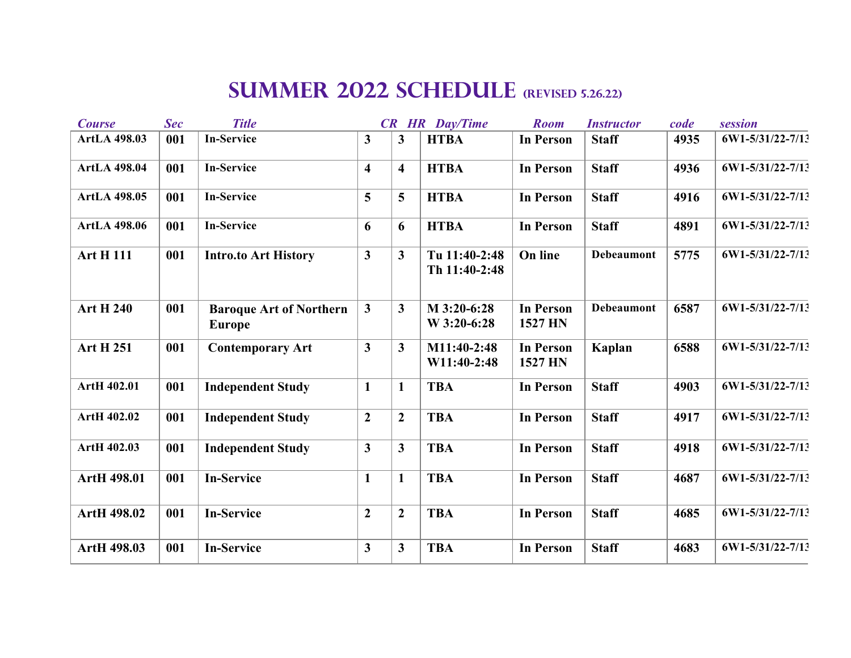| <b>Course</b>       | <b>Sec</b> | <b>Title</b>                                    |                         |                         | <b>CR HR Day/Time</b>          | <b>Room</b>                 | <b>Instructor</b> | code | session          |
|---------------------|------------|-------------------------------------------------|-------------------------|-------------------------|--------------------------------|-----------------------------|-------------------|------|------------------|
| <b>ArtLA 498.03</b> | 001        | <b>In-Service</b>                               | 3                       | $\mathbf{3}$            | <b>HTBA</b>                    | <b>In Person</b>            | <b>Staff</b>      | 4935 | 6W1-5/31/22-7/13 |
| <b>ArtLA 498.04</b> | 001        | <b>In-Service</b>                               | $\overline{\mathbf{4}}$ | $\overline{\mathbf{4}}$ | <b>HTBA</b>                    | <b>In Person</b>            | <b>Staff</b>      | 4936 | 6W1-5/31/22-7/13 |
| <b>ArtLA 498.05</b> | 001        | <b>In-Service</b>                               | 5                       | 5 <sup>5</sup>          | <b>HTBA</b>                    | <b>In Person</b>            | <b>Staff</b>      | 4916 | 6W1-5/31/22-7/13 |
| <b>ArtLA 498.06</b> | 001        | <b>In-Service</b>                               | 6                       | 6                       | <b>HTBA</b>                    | <b>In Person</b>            | <b>Staff</b>      | 4891 | 6W1-5/31/22-7/13 |
| <b>Art H 111</b>    | 001        | <b>Intro.to Art History</b>                     | $\mathbf{3}$            | $\mathbf{3}$            | Tu 11:40-2:48<br>Th 11:40-2:48 | On line                     | <b>Debeaumont</b> | 5775 | 6W1-5/31/22-7/13 |
| <b>Art H 240</b>    | 001        | <b>Baroque Art of Northern</b><br><b>Europe</b> | $\mathbf{3}$            | $\overline{3}$          | M 3:20-6:28<br>W 3:20-6:28     | <b>In Person</b><br>1527 HN | <b>Debeaumont</b> | 6587 | 6W1-5/31/22-7/13 |
| <b>Art H 251</b>    | 001        | <b>Contemporary Art</b>                         | $\mathbf{3}$            | $\mathbf{3}$            | M11:40-2:48<br>W11:40-2:48     | <b>In Person</b><br>1527 HN | Kaplan            | 6588 | 6W1-5/31/22-7/13 |
| ArtH 402.01         | 001        | <b>Independent Study</b>                        | $\mathbf{1}$            | $\mathbf{1}$            | <b>TBA</b>                     | <b>In Person</b>            | <b>Staff</b>      | 4903 | 6W1-5/31/22-7/13 |
| ArtH 402.02         | 001        | <b>Independent Study</b>                        | $\boldsymbol{2}$        | $\overline{2}$          | <b>TBA</b>                     | <b>In Person</b>            | <b>Staff</b>      | 4917 | 6W1-5/31/22-7/13 |
| ArtH 402.03         | 001        | <b>Independent Study</b>                        | $\overline{3}$          | 3 <sup>1</sup>          | <b>TBA</b>                     | <b>In Person</b>            | <b>Staff</b>      | 4918 | 6W1-5/31/22-7/13 |
| <b>ArtH 498.01</b>  | 001        | <b>In-Service</b>                               | $\mathbf{1}$            | $\mathbf{1}$            | <b>TBA</b>                     | <b>In Person</b>            | <b>Staff</b>      | 4687 | 6W1-5/31/22-7/13 |
| ArtH 498.02         | 001        | <b>In-Service</b>                               | $\boldsymbol{2}$        | $\overline{2}$          | <b>TBA</b>                     | <b>In Person</b>            | <b>Staff</b>      | 4685 | 6W1-5/31/22-7/13 |
| ArtH 498.03         | 001        | <b>In-Service</b>                               | 3                       | $\overline{\mathbf{3}}$ | <b>TBA</b>                     | <b>In Person</b>            | <b>Staff</b>      | 4683 | 6W1-5/31/22-7/13 |